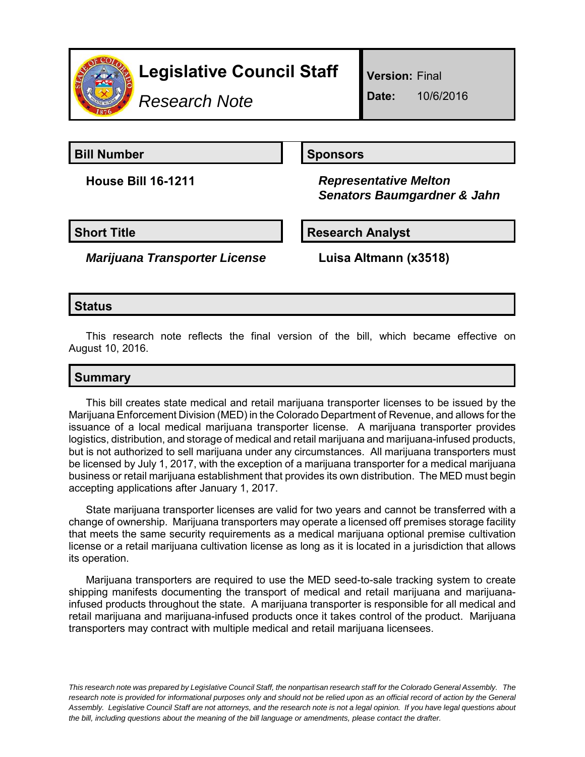

*Research Note*

**Version:** Final

**Date:** 10/6/2016

**Bill Number Sponsors** 

**House Bill 16-1211** *Representative Melton Senators Baumgardner & Jahn*

**Short Title Research Analyst** 

*Marijuana Transporter License* **Luisa Altmann (x3518)**

## **Status**

This research note reflects the final version of the bill, which became effective on August 10, 2016.

# **Summary**

This bill creates state medical and retail marijuana transporter licenses to be issued by the Marijuana Enforcement Division (MED) in the Colorado Department of Revenue, and allows for the issuance of a local medical marijuana transporter license. A marijuana transporter provides logistics, distribution, and storage of medical and retail marijuana and marijuana-infused products, but is not authorized to sell marijuana under any circumstances. All marijuana transporters must be licensed by July 1, 2017, with the exception of a marijuana transporter for a medical marijuana business or retail marijuana establishment that provides its own distribution. The MED must begin accepting applications after January 1, 2017.

State marijuana transporter licenses are valid for two years and cannot be transferred with a change of ownership. Marijuana transporters may operate a licensed off premises storage facility that meets the same security requirements as a medical marijuana optional premise cultivation license or a retail marijuana cultivation license as long as it is located in a jurisdiction that allows its operation.

Marijuana transporters are required to use the MED seed-to-sale tracking system to create shipping manifests documenting the transport of medical and retail marijuana and marijuanainfused products throughout the state. A marijuana transporter is responsible for all medical and retail marijuana and marijuana-infused products once it takes control of the product. Marijuana transporters may contract with multiple medical and retail marijuana licensees.

*This research note was prepared by Legislative Council Staff, the nonpartisan research staff for the Colorado General Assembly. The research note is provided for informational purposes only and should not be relied upon as an official record of action by the General Assembly. Legislative Council Staff are not attorneys, and the research note is not a legal opinion. If you have legal questions about the bill, including questions about the meaning of the bill language or amendments, please contact the drafter.*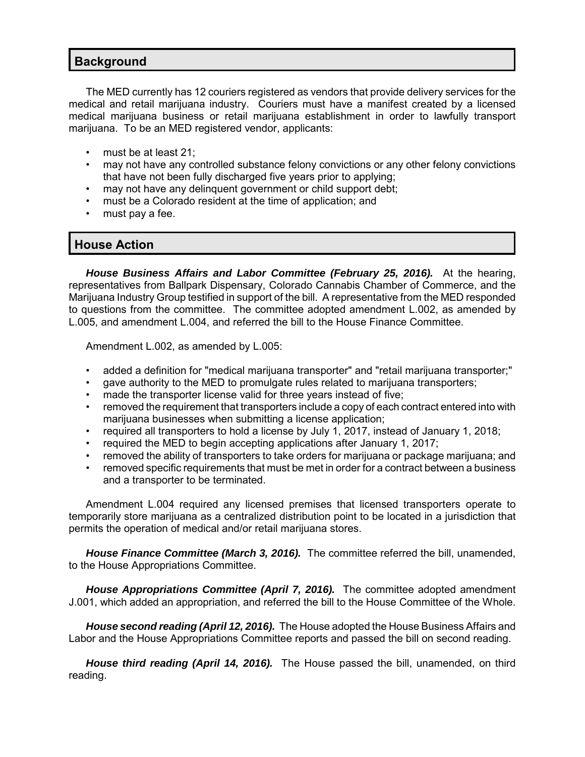#### **Background**

The MED currently has 12 couriers registered as vendors that provide delivery services for the medical and retail marijuana industry. Couriers must have a manifest created by a licensed medical marijuana business or retail marijuana establishment in order to lawfully transport marijuana. To be an MED registered vendor, applicants:

- must be at least 21;
- may not have any controlled substance felony convictions or any other felony convictions that have not been fully discharged five years prior to applying;
- may not have any delinquent government or child support debt;
- must be a Colorado resident at the time of application; and
- must pay a fee.

### **House Action**

*House Business Affairs and Labor Committee (February 25, 2016).* At the hearing, representatives from Ballpark Dispensary, Colorado Cannabis Chamber of Commerce, and the Marijuana Industry Group testified in support of the bill. A representative from the MED responded to questions from the committee. The committee adopted amendment L.002, as amended by L.005, and amendment L.004, and referred the bill to the House Finance Committee.

Amendment L.002, as amended by L.005:

- added a definition for "medical marijuana transporter" and "retail marijuana transporter;"
- gave authority to the MED to promulgate rules related to marijuana transporters;
- made the transporter license valid for three years instead of five;
- removed the requirement that transporters include a copy of each contract entered into with marijuana businesses when submitting a license application;
- required all transporters to hold a license by July 1, 2017, instead of January 1, 2018;
- required the MED to begin accepting applications after January 1, 2017;
- removed the ability of transporters to take orders for marijuana or package marijuana; and
- removed specific requirements that must be met in order for a contract between a business and a transporter to be terminated.

Amendment L.004 required any licensed premises that licensed transporters operate to temporarily store marijuana as a centralized distribution point to be located in a jurisdiction that permits the operation of medical and/or retail marijuana stores.

*House Finance Committee (March 3, 2016).* The committee referred the bill, unamended, to the House Appropriations Committee.

*House Appropriations Committee (April 7, 2016).* The committee adopted amendment J.001, which added an appropriation, and referred the bill to the House Committee of the Whole.

*House second reading (April 12, 2016).* The House adopted the House Business Affairs and Labor and the House Appropriations Committee reports and passed the bill on second reading.

*House third reading (April 14, 2016).* The House passed the bill, unamended, on third reading.